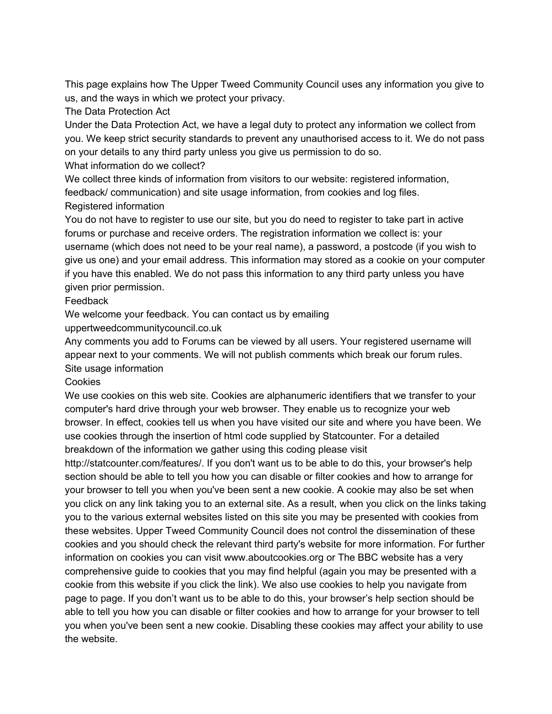This page explains how The Upper Tweed Community Council uses any information you give to us, and the ways in which we protect your privacy.

The Data Protection Act

Under the Data Protection Act, we have a legal duty to protect any information we collect from you. We keep strict security standards to prevent any unauthorised access to it. We do not pass on your details to any third party unless you give us permission to do so.

What information do we collect?

We collect three kinds of information from visitors to our website: registered information, feedback/ communication) and site usage information, from cookies and log files. Registered information

You do not have to register to use our site, but you do need to register to take part in active forums or purchase and receive orders. The registration information we collect is: your username (which does not need to be your real name), a password, a postcode (if you wish to give us one) and your email address. This information may stored as a cookie on your computer if you have this enabled. We do not pass this information to any third party unless you have given prior permission.

## Feedback

We welcome your feedback. You can contact us by emailing

uppertweedcommunitycouncil.co.uk

Any comments you add to Forums can be viewed by all users. Your registered username will appear next to your comments. We will not publish comments which break our forum rules. Site usage information

## **Cookies**

We use cookies on this web site. Cookies are alphanumeric identifiers that we transfer to your computer's hard drive through your web browser. They enable us to recognize your web browser. In effect, cookies tell us when you have visited our site and where you have been. We use cookies through the insertion of html code supplied by Statcounter. For a detailed breakdown of the information we gather using this coding please visit

http://statcounter.com/features/. If you don't want us to be able to do this, your browser's help section should be able to tell you how you can disable or filter cookies and how to arrange for your browser to tell you when you've been sent a new cookie. A cookie may also be set when you click on any link taking you to an external site. As a result, when you click on the links taking you to the various external websites listed on this site you may be presented with cookies from these websites. Upper Tweed Community Council does not control the dissemination of these cookies and you should check the relevant third party's website for more information. For further information on cookies you can visit www.aboutcookies.org or The BBC website has a very comprehensive guide to cookies that you may find helpful (again you may be presented with a cookie from this website if you click the link). We also use cookies to help you navigate from page to page. If you don't want us to be able to do this, your browser's help section should be able to tell you how you can disable or filter cookies and how to arrange for your browser to tell you when you've been sent a new cookie. Disabling these cookies may affect your ability to use the website.